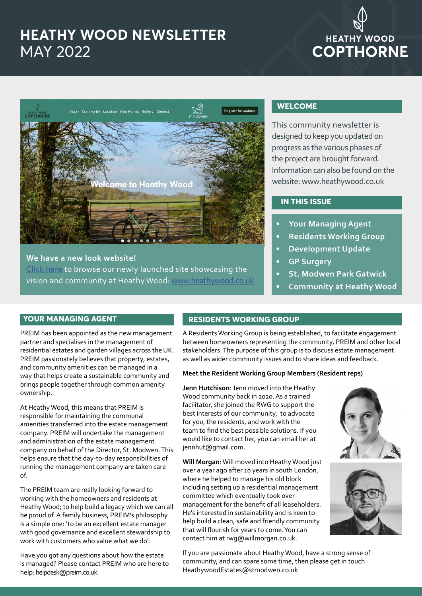### **HEATHY WOOD NEWSLETTER** MAY 2022

# **HEATHY WOOD COPTHORNE**



**We have a new look website!**  [Click here](https://www.heathywood.co.uk/) to browse our newly launched site showcasing the [vision and community at Heathy Wood: www.heathywood.co.uk](https://www.heathywood.co.uk/)

#### **WELCOME**

This community newsletter is designed to keep you updated on progress as the various phases of the project are brought forward. Information can also be found on the website: www.heathywood.co.uk

#### **IN THIS ISSUE**

- **• Your Managing Agent**
- **• Residents Working Group**
- **• Development Update**
- **• GP Surgery**
- **• St. Modwen Park Gatwick**
- **• Community at Heathy Wood**

#### **YOUR MANAGING AGENT**

PREIM has been appointed as the new management partner and specialises in the management of residential estates and garden villages across the UK. PREIM passionately believes that property, estates, and community amenities can be managed in a way that helps create a sustainable community and brings people together through common amenity ownership.

At Heathy Wood, this means that PREIM is responsible for maintaining the communal amenities transferred into the estate management company. PREIM will undertake the management and administration of the estate management company on behalf of the Director, St. Modwen. This helps ensure that the day-to-day responsibilities of running the management company are taken care of.

The PREIM team are really looking forward to working with the homeowners and residents at Heathy Wood; to help build a legacy which we can all be proud of. A family business, PREIM's philosophy is a simple one: 'to be an excellent estate manager with good governance and excellent stewardship to work with customers who value what we do'.

Have you got any questions about how the estate is managed? Please contact PREIM who are here to help: helpdesk@preim.co.uk.

### **RESIDENTS WORKING GROUP**

A Residents Working Group is being established, to facilitate engagement between homeowners representing the community, PREIM and other local stakeholders. The purpose of this group is to discuss estate management as well as wider community issues and to share ideas and feedback.

#### **Meet the Resident Working Group Members (Resident reps)**

**Jenn Hutchison**: Jenn moved into the Heathy Wood community back in 2020. As a trained facilitator, she joined the RWG to support the best interests of our community, to advocate for you, the residents, and work with the team to find the best possible solutions. If you would like to contact her, you can email her at jennhut@gmail.com.

**Will Morgan**: Will moved into Heathy Wood just over a year ago after 10 years in south London, where he helped to manage his old block including setting up a residential management committee which eventually took over management for the benefit of all leaseholders. He's interested in sustainability and is keen to help build a clean, safe and friendly community that will flourish for years to come. You can contact him at rwg@willmorgan.co.uk.

If you are passionate about Heathy Wood, have a strong sense of community, and can spare some time, then please get in touch HeathywoodEstates@stmodwen.co.uk



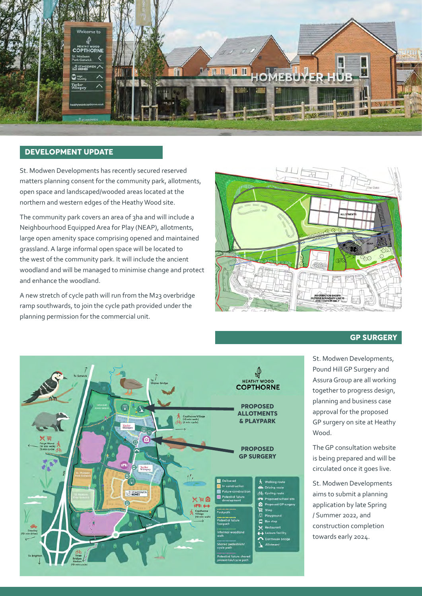

#### **DEVELOPMENT UPDATE**

St. Modwen Developments has recently secured reserved matters planning consent for the community park, allotments, open space and landscaped/wooded areas located at the northern and western edges of the Heathy Wood site.

The community park covers an area of 3ha and will include a Neighbourhood Equipped Area for Play (NEAP), allotments, large open amenity space comprising opened and maintained grassland. A large informal open space will be located to the west of the community park. It will include the ancient woodland and will be managed to minimise change and protect and enhance the woodland.

A new stretch of cycle path will run from the M23 overbridge ramp southwards, to join the cycle path provided under the planning permission for the commercial unit.



#### **GP SURGERY**



St. Modwen Developments, Pound Hill GP Surgery and Assura Group are all working together to progress design, planning and business case approval for the proposed GP surgery on site at Heathy Wood.

The GP consultation website is being prepared and will be circulated once it goes live.

St. Modwen Developments aims to submit a planning application by late Spring / Summer 2022, and construction completion towards early 2024.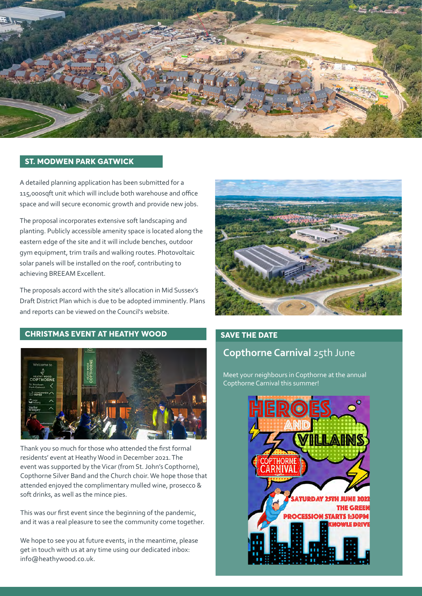

#### **ST. MODWEN PARK GATWICK**

A detailed planning application has been submitted for a 115,000sqft unit which will include both warehouse and office space and will secure economic growth and provide new jobs.

The proposal incorporates extensive soft landscaping and planting. Publicly accessible amenity space is located along the eastern edge of the site and it will include benches, outdoor gym equipment, trim trails and walking routes. Photovoltaic solar panels will be installed on the roof, contributing to achieving BREEAM Excellent.

The proposals accord with the site's allocation in Mid Sussex's Draft District Plan which is due to be adopted imminently. Plans and reports can be viewed on the Council's website.

#### **CHRISTMAS EVENT AT HEATHY WOOD**



Thank you so much for those who attended the first formal residents' event at Heathy Wood in December 2021. The event was supported by the Vicar (from St. John's Copthorne), Copthorne Silver Band and the Church choir. We hope those that attended enjoyed the complimentary mulled wine, prosecco & soft drinks, as well as the mince pies.

This was our first event since the beginning of the pandemic, and it was a real pleasure to see the community come together.

We hope to see you at future events, in the meantime, please get in touch with us at any time using our dedicated inbox: info@heathywood.co.uk.



#### **SAVE THE DATE**

#### **Copthorne Carnival** 25th June

Meet your neighbours in Copthorne at the annual Copthorne Carnival this summer!